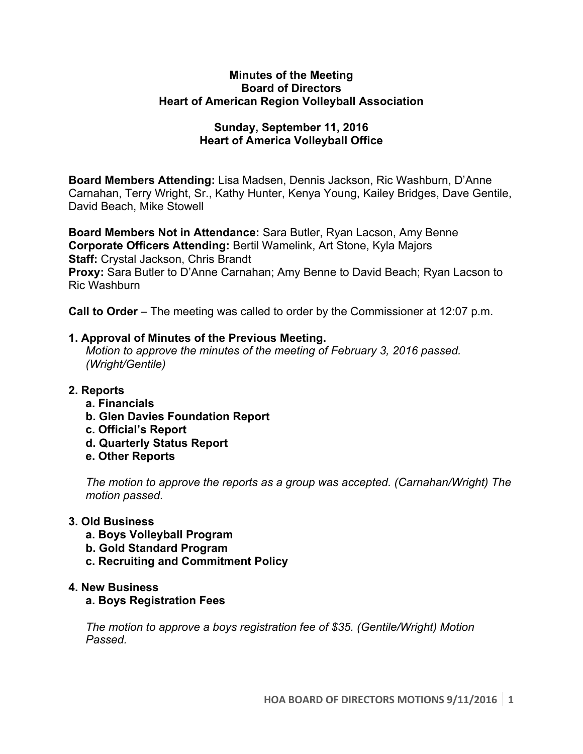#### **Minutes of the Meeting Board of Directors Heart of American Region Volleyball Association**

# **Sunday, September 11, 2016 Heart of America Volleyball Office**

**Board Members Attending:** Lisa Madsen, Dennis Jackson, Ric Washburn, D'Anne Carnahan, Terry Wright, Sr., Kathy Hunter, Kenya Young, Kailey Bridges, Dave Gentile, David Beach, Mike Stowell

**Board Members Not in Attendance:** Sara Butler, Ryan Lacson, Amy Benne **Corporate Officers Attending:** Bertil Wamelink, Art Stone, Kyla Majors **Staff:** Crystal Jackson, Chris Brandt **Proxy:** Sara Butler to D'Anne Carnahan; Amy Benne to David Beach; Ryan Lacson to Ric Washburn

**Call to Order** – The meeting was called to order by the Commissioner at 12:07 p.m.

## **1. Approval of Minutes of the Previous Meeting.**

*Motion to approve the minutes of the meeting of February 3, 2016 passed. (Wright/Gentile)* 

## **2. Reports**

- **a. Financials**
- **b. Glen Davies Foundation Report**
- **c. Official's Report**
- **d. Quarterly Status Report**
- **e. Other Reports**

*The motion to approve the reports as a group was accepted. (Carnahan/Wright) The motion passed.*

## **3. Old Business**

- **a. Boys Volleyball Program**
- **b. Gold Standard Program**
- **c. Recruiting and Commitment Policy**

## **4. New Business**

## **a. Boys Registration Fees**

*The motion to approve a boys registration fee of \$35. (Gentile/Wright) Motion Passed.*